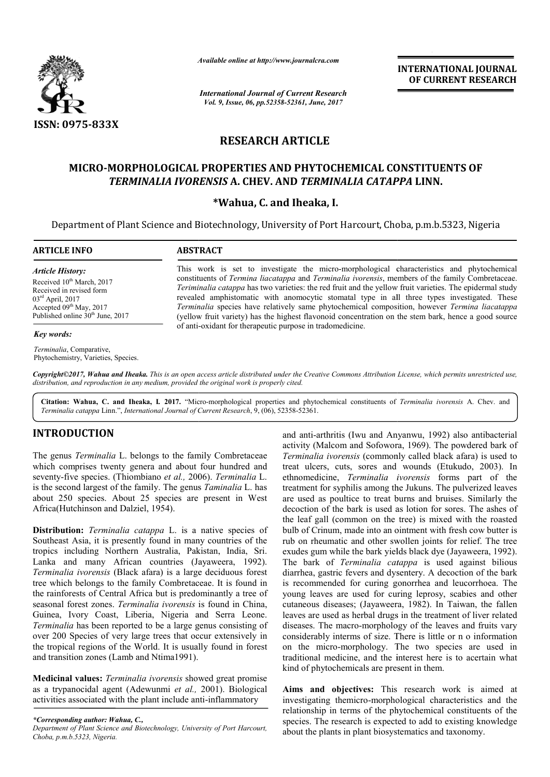

*Available online at http://www.journal http://www.journalcra.com*

*International Journal of Current Research Vol. 9, Issue, 06, pp.52358-52361, June, 2017*

**INTERNATIONAL JOURNAL OF CURRENT RESEARCH** 

# **RESEARCH ARTICLE**

## **MICRO-MORPHOLOGICAL PROPERTIES MORPHOLOGICAL AND PHYTOCHEMICAL CONSTITUENTS AND PHYTOCHEMICAL CONSTITUENTS OF** *TERMINALIA IVORENSIS* **A. CHEV. AND** *TERMINALIA CATAPPA*  **LINN.**

### **\*Wahua, C. and Iheaka, I.**

Department of Plant Science and Biotechnology, University of Port Harcourt, Choba, p.m.b.5323, Nigeria

#### **ARTICLE INFO ABSTRACT** This work is set to investigate the micro-morphological characteristics and phytochemical constituents of *Termina liacatappa* and *Terminalia ivorensis*, members of the family Combretaceae. This work is set to investigate the micro-morphological characteristics and phytochemical constituents of *Termina liacatappa* and *Terminalia ivorensis*, members of the family Combretaceae. *Teriminalia catappa* has two v revealed amphistomatic with anomocytic stomatal type in all three types investigated. These *Terminalia* species have relatively same phytochemical composition, however *Termina liacatappa* (yellow fruit variety) has the highest flavonoid concentration on the stem bark, hence a good source (yellow fruit variety) has the highest flavonoid concentiof anti-oxidant for therapeutic purpose in tradomedicine. *Article History:* Received 10<sup>th</sup> March, 2017 Received in revised form 03rd April, 2017 Accepted 09<sup>th</sup> May, 2017 Published online 30<sup>th</sup> June, 2017 *Key words: Terminalia*, Comparative, Phytochemistry, Varieties, Species.

Copyright©2017, Wahua and Iheaka. This is an open access article distributed under the Creative Commons Attribution License, which permits unrestricted use, *distribution, and reproduction in any medium, provided the original work is properly cited.*

**Citation: Wahua, C. and Iheaka, I***.* **2017.** "Micro Micro-morphological properties and phytochemical constituents of *Terminalia ivorensis* A. Chev. and *Terminalia catappa* Linn.", *International Journal of Current Research* , 9, (06), 52358-52361.

### **INTRODUCTION**

The genus *Terminalia* L. belongs to the family Combretaceae which comprises twenty genera and about four hundred and seventy-five species. (Thiombiano *et al.,* 2006). *Terminalia* L. is the second largest of the family. The genus *Taminalia* L. has about 250 species. About 25 species are present in West Africa(Hutchinson and Dalziel, 1954).

**Distribution:** *Terminalia catappa* L. is a native species of Southeast Asia, it is presently found in many countries of the tropics including Northern Australia, Pakistan, India, Sri. Lanka and many African countries (Jayaweera, 1992). *Terminalia ivorensis* (Black afara) is a large deciduous forest tree which belongs to the family Combretaceae. It i the rainforests of Central Africa but is predominantly a tree of seasonal forest zones. *Terminalia ivorensis* is found in China, Guinea, Ivory Coast, Liberia, Nigeria and Serra Leone. *Terminalia* has been reported to be a large genus consisting of over 200 Species of very large trees that occur extensively in the tropical regions of the World. It is usually found in forest and transition zones (Lamb and Ntima1991). Sound in many countries of the<br>
ustralia, Pakistan, India, Sri.<br>
countries (Jayaweera, 1992).<br>
Ira) is a large deciduous forest<br>
y Combretaceae. It is found in

**Medicinal values:** *Terminalia ivorensis* showed great promise as a trypanocidal agent (Adewunmi *et al.,* 2001). Biological activities associated with the plant include anti-inflammatory

*\*Corresponding author: Wahua, C.,*

*Department of Plant Science and Biotechnology, University of Port Harcourt Harcourt, Choba, p.m.b.5323, Nigeria.*

and anti-arthritis (Iwu and Anyanwu, 1992) also antibacterial activity (Malcom and Sofowora, 1969). The powdered bark of *Terminalia ivorensis* (commonly called black afara) is used to and anti-arthritis (Iwu and Anyanwu, 1992) also antibacterial<br>activity (Malcom and Sofowora, 1969). The powdered bark of<br>*Terminalia ivorensis* (commonly called black afara) is used to<br>treat ulcers, cuts, sores and wounds ethnomedicine, *Terminalia ivorensis ivorensis* forms part of the treatment for syphilis among the Jukuns. The pulverized leaves are used as poultice to treat burns and bruises. Similarly the treatment for syphilis among the Jukuns. The pulverized leaves<br>are used as poultice to treat burns and bruises. Similarly the<br>decoction of the bark is used as lotion for sores. The ashes of the leaf gall (common on the tree) is mixed with the roasted bulb of Crinum, made into an ointment with fresh cow butter is rub on rheumatic and other swollen joints for relief. exudes gum while the bark yields black dye (Jayaweera, 1992). The bark of *Terminalia catappa* is used against bilious diarrhea, gastric fevers and dysentery. A decoction of the bark diarrhea, gastric fevers and dysentery. A decoction of the bark<br>is recommended for curing gonorrhea and leucorrhoea. The young leaves are used for curing leprosy, scabies and other cutaneous diseases; (Jayaweera, 1982). In Taiwan, the fallen leaves are used as herbal drugs in the treatment of liver related diseases. The macro-morphology of the leaves and fruits vary considerably interms of size. There is little or n o information on the micro-morphology. The two species are used in traditional medicine, and the interest here is to acertain what kind of phytochemicals are present in them. leaf gall (common on the tree) is mixed with the roasted<br>of Crinum, made into an ointment with fresh cow butter is<br>on rheumatic and other swollen joints for relief. The tree young leaves are used for curing leprosy, scabies and other cutaneous diseases; (Jayaweera, 1982). In Taiwan, the fallen leaves are used as herbal drugs in the treatment of liver related diseases. The macro-morphology of t

**Aims and objectives:** This research work is aimed at investigating themicro-morphological characteristics and the relationship in terms of the phytochemical constituents of the species. The research is expected to add to existing knowledge about the plants in plant biosystematics and taxonomy.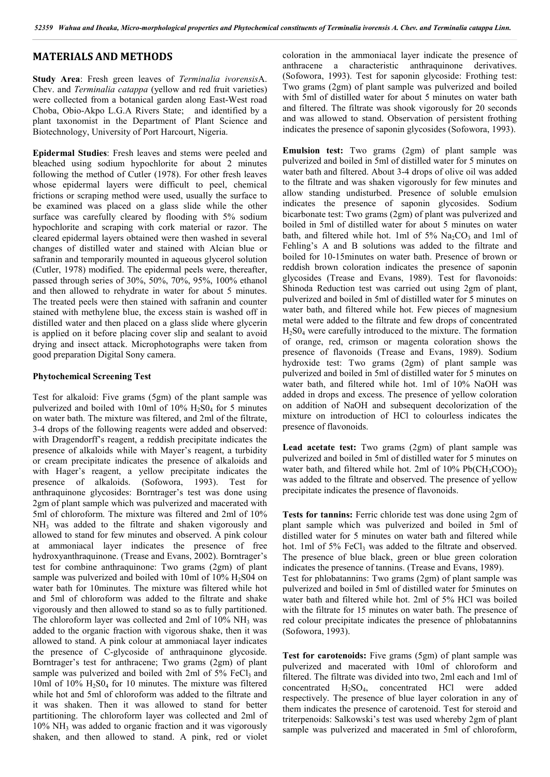### **MATERIALS AND METHODS**

**Study Area**: Fresh green leaves of *Terminalia ivorensis*A. Chev. and *Terminalia catappa* (yellow and red fruit varieties) were collected from a botanical garden along East-West road Choba, Obio-Akpo L.G.A Rivers State; and identified by a plant taxonomist in the Department of Plant Science and Biotechnology, University of Port Harcourt, Nigeria.

**Epidermal Studies**: Fresh leaves and stems were peeled and bleached using sodium hypochlorite for about 2 minutes following the method of Cutler (1978). For other fresh leaves whose epidermal layers were difficult to peel, chemical frictions or scraping method were used, usually the surface to be examined was placed on a glass slide while the other surface was carefully cleared by flooding with 5% sodium hypochlorite and scraping with cork material or razor. The cleared epidermal layers obtained were then washed in several changes of distilled water and stained with Alcian blue or safranin and temporarily mounted in aqueous glycerol solution (Cutler, 1978) modified. The epidermal peels were, thereafter, passed through series of 30%, 50%, 70%, 95%, 100% ethanol and then allowed to rehydrate in water for about 5 minutes. The treated peels were then stained with safranin and counter stained with methylene blue, the excess stain is washed off in distilled water and then placed on a glass slide where glycerin is applied on it before placing cover slip and sealant to avoid drying and insect attack. Microphotographs were taken from good preparation Digital Sony camera.

#### **Phytochemical Screening Test**

Test for alkaloid: Five grams (5gm) of the plant sample was pulverized and boiled with 10ml of  $10\%$  H<sub>2</sub>S0<sub>4</sub> for 5 minutes on water bath. The mixture was filtered, and 2ml of the filtrate, 3-4 drops of the following reagents were added and observed: with Dragendorff's reagent, a reddish precipitate indicates the presence of alkaloids while with Mayer's reagent, a turbidity or cream precipitate indicates the presence of alkaloids and with Hager's reagent, a yellow precipitate indicates the presence of alkaloids. (Sofowora, 1993). Test for anthraquinone glycosides: Borntrager's test was done using 2gm of plant sample which was pulverized and macerated with 5ml of chloroform. The mixture was filtered and 2ml of 10% NH<sub>3</sub> was added to the filtrate and shaken vigorously and allowed to stand for few minutes and observed. A pink colour at ammoniacal layer indicates the presence of free hydroxyanthraquinone. (Trease and Evans, 2002). Borntrager's test for combine anthraquinone: Two grams (2gm) of plant sample was pulverized and boiled with 10ml of  $10\%$  H<sub>2</sub>S04 on water bath for 10minutes. The mixture was filtered while hot and 5ml of chloroform was added to the filtrate and shake vigorously and then allowed to stand so as to fully partitioned. The chloroform layer was collected and 2ml of 10% NH<sub>3</sub> was added to the organic fraction with vigorous shake, then it was allowed to stand. A pink colour at ammoniacal layer indicates the presence of C-glycoside of anthraquinone glycoside. Borntrager's test for anthracene; Two grams (2gm) of plant sample was pulverized and boiled with 2ml of  $5\%$  FeCl<sub>3</sub> and 10ml of  $10\%$  H<sub>2</sub>S<sub>04</sub> for 10 minutes. The mixture was filtered while hot and 5ml of chloroform was added to the filtrate and it was shaken. Then it was allowed to stand for better partitioning. The chloroform layer was collected and 2ml of 10% NH3 was added to organic fraction and it was vigorously shaken, and then allowed to stand. A pink, red or violet coloration in the ammoniacal layer indicate the presence of anthracene a characteristic anthraquinone derivatives. (Sofowora, 1993). Test for saponin glycoside: Frothing test: Two grams (2gm) of plant sample was pulverized and boiled with 5ml of distilled water for about 5 minutes on water bath and filtered. The filtrate was shook vigorously for 20 seconds and was allowed to stand. Observation of persistent frothing indicates the presence of saponin glycosides (Sofowora, 1993).

**Emulsion test:** Two grams (2gm) of plant sample was pulverized and boiled in 5ml of distilled water for 5 minutes on water bath and filtered. About 3-4 drops of olive oil was added to the filtrate and was shaken vigorously for few minutes and allow standing undisturbed. Presence of soluble emulsion indicates the presence of saponin glycosides. Sodium bicarbonate test: Two grams (2gm) of plant was pulverized and boiled in 5ml of distilled water for about 5 minutes on water bath, and filtered while hot. 1ml of  $5\%$  Na<sub>2</sub>CO<sub>3</sub> and 1ml of Fehling's A and B solutions was added to the filtrate and boiled for 10-15minutes on water bath. Presence of brown or reddish brown coloration indicates the presence of saponin glycosides (Trease and Evans, 1989). Test for flavonoids: Shinoda Reduction test was carried out using 2gm of plant, pulverized and boiled in 5ml of distilled water for 5 minutes on water bath, and filtered while hot. Few pieces of magnesium metal were added to the filtrate and few drops of concentrated  $H<sub>2</sub>S0<sub>4</sub>$  were carefully introduced to the mixture. The formation of orange, red, crimson or magenta coloration shows the presence of flavonoids (Trease and Evans, 1989). Sodium hydroxide test: Two grams (2gm) of plant sample was pulverized and boiled in 5ml of distilled water for 5 minutes on water bath, and filtered while hot. 1ml of 10% NaOH was added in drops and excess. The presence of yellow coloration on addition of NaOH and subsequent decolorization of the mixture on introduction of HCl to colourless indicates the presence of flavonoids.

Lead acetate test: Two grams (2gm) of plant sample was pulverized and boiled in 5ml of distilled water for 5 minutes on water bath, and filtered while hot. 2ml of  $10\%$  Pb(CH<sub>3</sub>COO)<sub>2</sub> was added to the filtrate and observed. The presence of yellow precipitate indicates the presence of flavonoids.

**Tests for tannins:** Ferric chloride test was done using 2gm of plant sample which was pulverized and boiled in 5ml of distilled water for 5 minutes on water bath and filtered while hot. 1ml of 5% FeCl<sub>3</sub> was added to the filtrate and observed. The presence of blue black, green or blue green coloration indicates the presence of tannins. (Trease and Evans, 1989). Test for phlobatannins: Two grams (2gm) of plant sample was pulverized and boiled in 5ml of distilled water for 5minutes on water bath and filtered while hot. 2ml of 5% HCl was boiled with the filtrate for 15 minutes on water bath. The presence of red colour precipitate indicates the presence of phlobatannins (Sofowora, 1993).

**Test for carotenoids:** Five grams (5gm) of plant sample was pulverized and macerated with 10ml of chloroform and filtered. The filtrate was divided into two, 2ml each and 1ml of concentrated H2SO4, concentrated HCl were added respectively. The presence of blue layer coloration in any of them indicates the presence of carotenoid. Test for steroid and triterpenoids: Salkowski's test was used whereby 2gm of plant sample was pulverized and macerated in 5ml of chloroform,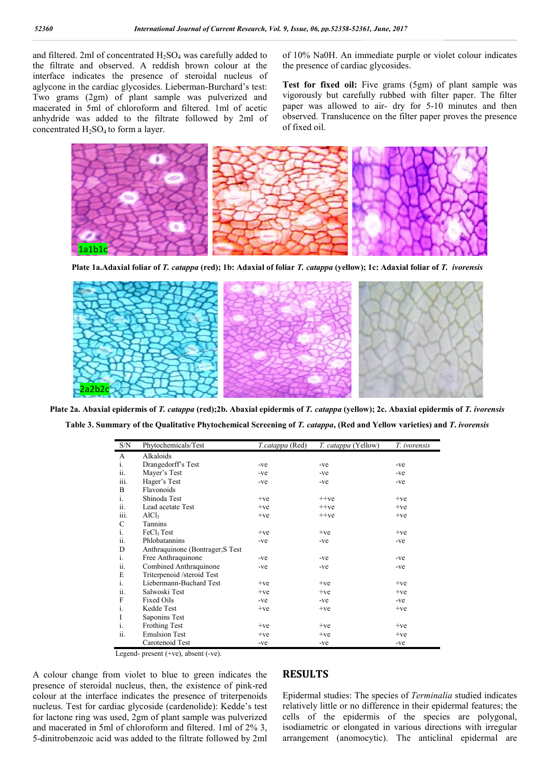and filtered. 2ml of concentrated  $H_2SO_4$  was carefully added to the filtrate and observed. A reddish brown colour at the interface indicates the presence of steroidal nucleus of aglycone in the cardiac glycosides. Lieberman-Burchard's test: Two grams (2gm) of plant sample was pulverized and macerated in 5ml of chloroform and filtered. 1ml of acetic anhydride was added to the filtrate followed by 2ml of concentrated  $H_2SO_4$  to form a layer.

of 10% Na0H. An immediate purple or violet colour indicates the presence of cardiac glycosides.

**Test for fixed oil:** Five grams (5gm) of plant sample was vigorously but carefully rubbed with filter paper. The filter paper was allowed to air- dry for 5-10 minutes and then observed. Translucence on the filter paper proves the presence of fixed oil.



**Plate 1a.Adaxial foliar of** *T. catappa* **(red); 1b: Adaxial of foliar** *T. catappa* **(yellow); 1c: Adaxial foliar of** *T. ivorensis*



**Plate 2a. Abaxial epidermis of** *T. catappa* **(red);2b. Abaxial epidermis of** *T. catappa* **(yellow); 2c. Abaxial epidermis of** *T. ivorensis* **Table 3. Summary of the Qualitative Phytochemical Screening of** *T. catappa***, (Red and Yellow varieties) and** *T***.** *ivorensis*

| S/N  | Phytochemicals/Test              | T.catappa (Red) | <i>T. catappa</i> (Yellow) | T. ivorensis |
|------|----------------------------------|-----------------|----------------------------|--------------|
| A    | Alkaloids                        |                 |                            |              |
| i.   | Drangedorff's Test               | $-ve$           | $-ve$                      | -ve          |
| ii.  | Mayer's Test                     | $-ve$           | -ve                        | -ve          |
| iii. | Hager's Test                     | $-ve$           | $-ve$                      | -ve          |
| B    | Flavonoids                       |                 |                            |              |
| i.   | Shinoda Test                     | $+ve$           | $++ve$                     | $+ve$        |
| ii.  | Lead acetate Test                | $+ve$           | $++ve$                     | $+ve$        |
| iii. | AICl <sub>3</sub>                | $+ve$           | $++ve$                     | $+ve$        |
| C    | Tannins                          |                 |                            |              |
| i.   | FeCl <sub>3</sub> Test           | $+ve$           | $+ve$                      | $+ve$        |
| ii.  | Phlobatannins                    | $-ve$           | $-ve$                      | -ve          |
| D    | Anthraquinone (Bontrager; S Test |                 |                            |              |
| i.   | Free Anthraquinone               | -ve             | $-ve$                      | -ve          |
| ii.  | Combined Anthraquinone           | $-ve$           | $-ve$                      | -ve          |
| E    | Triterpenoid /steroid Test       |                 |                            |              |
| i.   | Liebermann-Buchard Test          | $+ve$           | $+ve$                      | $+ve$        |
| ii.  | Salwoski Test                    | $+ve$           | $+ve$                      | $+ve$        |
| F    | <b>Fixed Oils</b>                | -ve             | $-ve$                      | -ve          |
| i.   | Kedde Test                       | $+ve$           | $+ve$                      | $+ve$        |
| I    | Saponins Test                    |                 |                            |              |
| i.   | <b>Frothing Test</b>             | $+ve$           | $+ve$                      | $+ve$        |
| ii.  | <b>Emulsion Test</b>             | $+ve$           | $+ve$                      | $+ve$        |
|      | Carotenoid Test                  | $-ve$           | $-ve$                      | $-ve$        |

Legend- present (+ve), absent (-ve).

A colour change from violet to blue to green indicates the presence of steroidal nucleus, then, the existence of pink-red colour at the interface indicates the presence of triterpenoids nucleus. Test for cardiac glycoside (cardenolide): Kedde's test for lactone ring was used, 2gm of plant sample was pulverized and macerated in 5ml of chloroform and filtered. 1ml of 2% 3, 5-dinitrobenzoic acid was added to the filtrate followed by 2ml

### **RESULTS**

Epidermal studies: The species of *Terminalia* studied indicates relatively little or no difference in their epidermal features; the cells of the epidermis of the species are polygonal, isodiametric or elongated in various directions with irregular arrangement (anomocytic). The anticlinal epidermal are